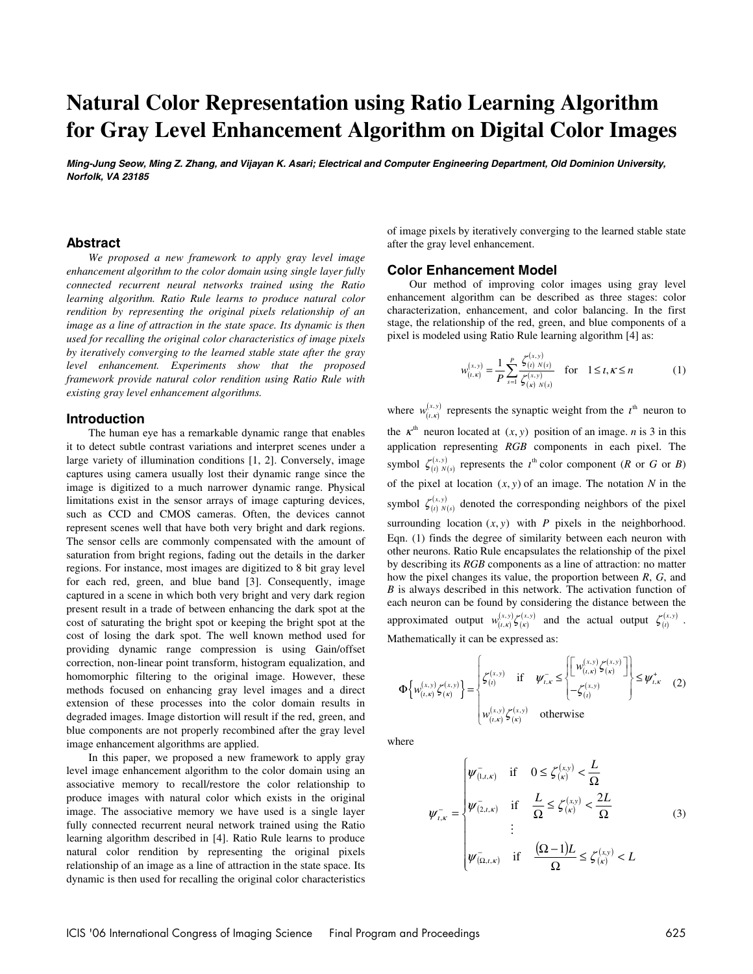# **Natural Color Representation using Ratio Learning Algorithm for Gray Level Enhancement Algorithm on Digital Color Images**

**Ming-Jung Seow, Ming Z. Zhang, and Vijayan K. Asari; Electrical and Computer Engineering Department, Old Dominion University, Norfolk, VA 23185** 

#### **Abstract**

*We proposed a new framework to apply gray level image enhancement algorithm to the color domain using single layer fully connected recurrent neural networks trained using the Ratio learning algorithm. Ratio Rule learns to produce natural color rendition by representing the original pixels relationship of an image as a line of attraction in the state space. Its dynamic is then used for recalling the original color characteristics of image pixels by iteratively converging to the learned stable state after the gray level enhancement. Experiments show that the proposed framework provide natural color rendition using Ratio Rule with existing gray level enhancement algorithms.* 

#### **Introduction**

The human eye has a remarkable dynamic range that enables it to detect subtle contrast variations and interpret scenes under a large variety of illumination conditions [1, 2]. Conversely, image captures using camera usually lost their dynamic range since the image is digitized to a much narrower dynamic range. Physical limitations exist in the sensor arrays of image capturing devices, such as CCD and CMOS cameras. Often, the devices cannot represent scenes well that have both very bright and dark regions. The sensor cells are commonly compensated with the amount of saturation from bright regions, fading out the details in the darker regions. For instance, most images are digitized to 8 bit gray level for each red, green, and blue band [3]. Consequently, image captured in a scene in which both very bright and very dark region present result in a trade of between enhancing the dark spot at the cost of saturating the bright spot or keeping the bright spot at the cost of losing the dark spot. The well known method used for providing dynamic range compression is using Gain/offset correction, non-linear point transform, histogram equalization, and homomorphic filtering to the original image. However, these methods focused on enhancing gray level images and a direct extension of these processes into the color domain results in degraded images. Image distortion will result if the red, green, and blue components are not properly recombined after the gray level image enhancement algorithms are applied.

In this paper, we proposed a new framework to apply gray level image enhancement algorithm to the color domain using an associative memory to recall/restore the color relationship to produce images with natural color which exists in the original image. The associative memory we have used is a single layer fully connected recurrent neural network trained using the Ratio learning algorithm described in [4]. Ratio Rule learns to produce natural color rendition by representing the original pixels relationship of an image as a line of attraction in the state space. Its dynamic is then used for recalling the original color characteristics of image pixels by iteratively converging to the learned stable state after the gray level enhancement.

### **Color Enhancement Model**

Our method of improving color images using gray level enhancement algorithm can be described as three stages: color characterization, enhancement, and color balancing. In the first stage, the relationship of the red, green, and blue components of a pixel is modeled using Ratio Rule learning algorithm [4] as:

$$
w_{(t,x)}^{(x,y)} = \frac{1}{P} \sum_{s=1}^{P} \frac{\zeta_{(t)}^{(x,y)}}{\zeta_{(x)}^{(x,y)}} \quad \text{for} \quad 1 \le t, \kappa \le n \tag{1}
$$

where  $w_{(i,x)}^{(x,y)}$  represents the synaptic weight from the  $t^{\text{th}}$  neuron to the  $\kappa^{th}$  neuron located at  $(x, y)$  position of an image. *n* is 3 in this application representing *RGB* components in each pixel. The symbol  $\zeta_{(i) N(s)}^{(x,y)}$  represents the  $i^{th}$  color component (*R* or *G* or *B*) of the pixel at location  $(x, y)$  of an image. The notation  $N$  in the symbol  $\zeta_{(i) N(s)}^{(x,y)}$  denoted the corresponding neighbors of the pixel surrounding location  $(x, y)$  with *P* pixels in the neighborhood. Eqn. (1) finds the degree of similarity between each neuron with other neurons. Ratio Rule encapsulates the relationship of the pixel by describing its *RGB* components as a line of attraction: no matter how the pixel changes its value, the proportion between *R*, *G*, and *B* is always described in this network. The activation function of each neuron can be found by considering the distance between the approximated output  $w_{(i,k)}^{(x,y)} \zeta_{(k)}^{(x,y)}$  and the actual output  $\zeta_{(i)}^{(x,y)}$ . Mathematically it can be expressed as:

$$
\Phi\left\{w_{(t,x)}^{(x,y)}\zeta_{(x)}^{(x,y)}\right\} = \begin{cases} \zeta_{(t)}^{(x,y)} & \text{if } \psi_{t,x}^{-} \leq \left[\begin{bmatrix} w_{(t,x)}^{(x,y)}\zeta_{(x)}^{(x,y)} \\ -\zeta_{(t)}^{(x,y)} \end{bmatrix} \right] \leq \psi_{t,x}^{+} \end{cases}
$$
 (2)  

$$
w_{(t,x)}^{(x,y)}\zeta_{(x)}^{(x,y)} \text{ otherwise}
$$

where

$$
\psi_{(1,t,\kappa)}^- = \begin{cases}\n\psi_{(1,t,\kappa)}^- & \text{if } 0 \le \zeta_{(\kappa)}^{(x,y)} < \frac{L}{\Omega} \\
\psi_{(2,t,\kappa)}^- & \text{if } \frac{L}{\Omega} \le \zeta_{(\kappa)}^{(x,y)} < \frac{2L}{\Omega} \\
\vdots & \vdots \\
\psi_{(\Omega,t,\kappa)}^- & \text{if } \frac{(\Omega-1)L}{\Omega} \le \zeta_{(\kappa)}^{(x,y)} < L\n\end{cases} \tag{3}
$$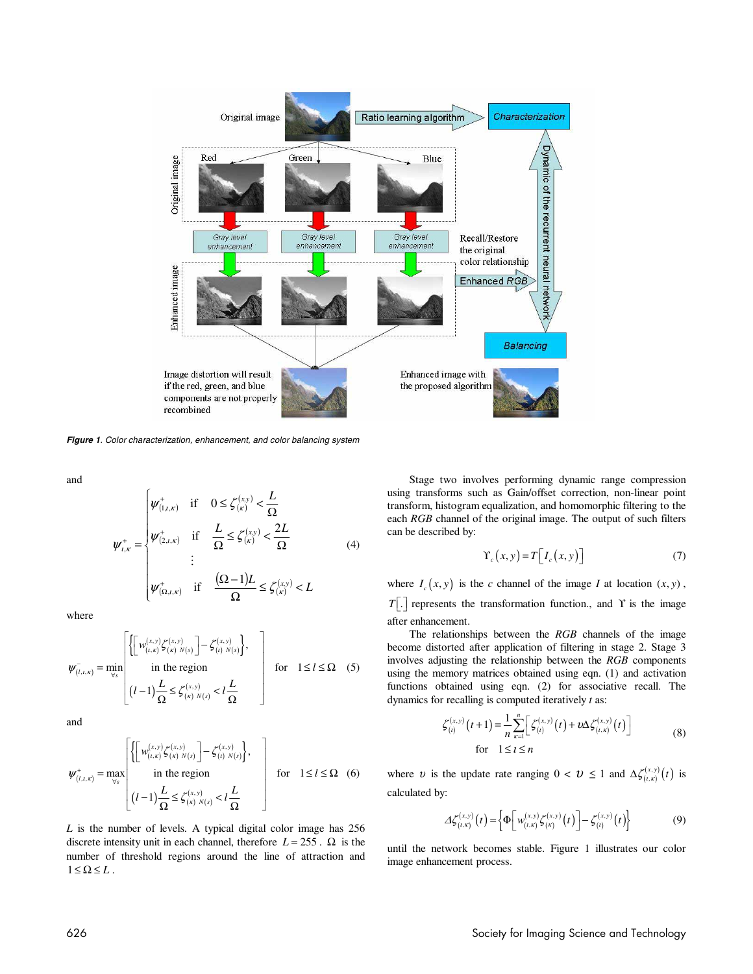

**Figure 1**. Color characterization, enhancement, and color balancing system

and

$$
\psi_{t,\kappa}^{+} = \begin{cases}\n\psi_{(1,t,\kappa)}^{+} & \text{if} \quad 0 \leq \zeta_{(\kappa)}^{(x,y)} < \frac{L}{\Omega} \\
\psi_{t,\kappa}^{+} & \text{if} \quad \frac{L}{\Omega} \leq \zeta_{(\kappa)}^{(x,y)} < \frac{2L}{\Omega} \\
\vdots & \vdots \\
\psi_{(\Omega,t,\kappa)}^{+} & \text{if} \quad \frac{(\Omega-1)L}{\Omega} \leq \zeta_{(\kappa)}^{(x,y)} < L\n\end{cases} \tag{4}
$$

where

$$
\psi_{(l,i,\kappa)}^{-} = \min_{\forall s} \begin{bmatrix} \left\{ \begin{bmatrix} w_{(l,\kappa)}^{(x,y)} \zeta_{(\kappa)}^{(x,y)} \end{bmatrix} - \zeta_{(l)}^{(x,y)} \right\}, \\ \text{in the region} \\ (l-1) \frac{L}{\Omega} \leq \zeta_{(\kappa)}^{(x,y)} \leq l \frac{L}{\Omega} \end{bmatrix} \quad \text{for} \quad 1 \leq l \leq \Omega \quad (5)
$$

and

$$
\psi_{(l,\iota,\kappa)}^{+} = \max_{\forall s} \begin{bmatrix} \left\{ \begin{bmatrix} w_{(l,\kappa)}^{(x,y)} \zeta_{(\kappa)}^{(x,y)} - \zeta_{(l) N(s)}^{(x,y)} \end{bmatrix}, \\ \text{in the region} \\ (l-1) \frac{L}{\Omega} \le \zeta_{(\kappa)}^{(x,y)} N(s) < l \frac{L}{\Omega} \end{bmatrix} \quad \text{for} \quad 1 \le l \le \Omega \quad (6)
$$

*L* is the number of levels. A typical digital color image has 256 discrete intensity unit in each channel, therefore  $L = 255$ .  $\Omega$  is the number of threshold regions around the line of attraction and  $1 \leq \Omega \leq L$ .

Stage two involves performing dynamic range compression using transforms such as Gain/offset correction, non-linear point transform, histogram equalization, and homomorphic filtering to the each *RGB* channel of the original image. The output of such filters can be described by:

$$
\Upsilon_c(x, y) = T \left[ I_c(x, y) \right] \tag{7}
$$

where  $I_c(x, y)$  is the *c* channel of the image *I* at location  $(x, y)$ , *T*[.] represents the transformation function., and Υ is the image after enhancement.

The relationships between the *RGB* channels of the image become distorted after application of filtering in stage 2. Stage 3 involves adjusting the relationship between the *RGB* components using the memory matrices obtained using eqn. (1) and activation functions obtained using eqn. (2) for associative recall. The dynamics for recalling is computed iteratively *t* as:

$$
\zeta_{(i)}^{(x,y)}(t+1) = \frac{1}{n} \sum_{\kappa=1}^{n} \left[ \zeta_{(i)}^{(x,y)}(t) + \nu \Delta \zeta_{(i,\kappa)}^{(x,y)}(t) \right]
$$
  
for  $1 \le t \le n$  (8)

where v is the update rate ranging  $0 < v \le 1$  and  $\Delta \zeta_{(t,x)}^{(x,y)}(t)$  is calculated by:

$$
\Delta \zeta_{(t,x)}^{(x,y)}(t) = \left\{ \Phi \bigg[ w_{(t,x)}^{(x,y)} \zeta_{(x)}^{(x,y)}(t) \bigg] - \zeta_{(t)}^{(x,y)}(t) \right\} \tag{9}
$$

until the network becomes stable. Figure 1 illustrates our color image enhancement process.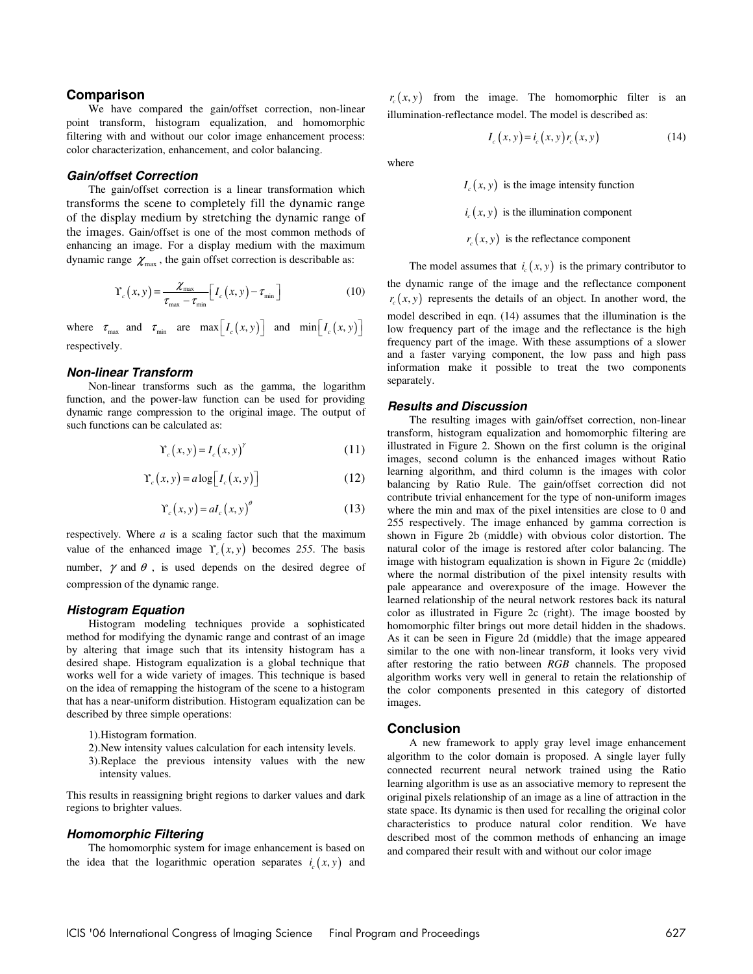## **Comparison**

We have compared the gain/offset correction, non-linear point transform, histogram equalization, and homomorphic filtering with and without our color image enhancement process: color characterization, enhancement, and color balancing.

## **Gain/offset Correction**

The gain/offset correction is a linear transformation which transforms the scene to completely fill the dynamic range of the display medium by stretching the dynamic range of the images. Gain/offset is one of the most common methods of enhancing an image. For a display medium with the maximum dynamic range  $\chi_{\text{max}}$ , the gain offset correction is describable as:

$$
\Upsilon_c(x, y) = \frac{\chi_{\text{max}}}{\tau_{\text{max}} - \tau_{\text{min}}} \Big[ I_c(x, y) - \tau_{\text{min}} \Big] \tag{10}
$$

where  $\tau_{\text{max}}$  and  $\tau_{\text{min}}$  are  $\max[I_c(x, y)]$  and  $\min[I_c(x, y)]$ respectively.

#### **Non-linear Transform**

Non-linear transforms such as the gamma, the logarithm function, and the power-law function can be used for providing dynamic range compression to the original image. The output of such functions can be calculated as:

$$
\Upsilon_c(x, y) = I_c(x, y)^\gamma \tag{11}
$$

$$
\Upsilon_c(x, y) = a \log \bigl[ I_c(x, y) \bigr] \tag{12}
$$

$$
\Upsilon_c(x, y) = aI_c(x, y)^\theta \tag{13}
$$

respectively. Where *a* is a scaling factor such that the maximum value of the enhanced image  $\Upsilon(x, y)$  becomes 255. The basis number,  $\gamma$  and  $\theta$ , is used depends on the desired degree of compression of the dynamic range.

#### **Histogram Equation**

Histogram modeling techniques provide a sophisticated method for modifying the dynamic range and contrast of an image by altering that image such that its intensity histogram has a desired shape. Histogram equalization is a global technique that works well for a wide variety of images. This technique is based on the idea of remapping the histogram of the scene to a histogram that has a near-uniform distribution. Histogram equalization can be described by three simple operations:

- 1).Histogram formation.
- 2).New intensity values calculation for each intensity levels.
- 3).Replace the previous intensity values with the new intensity values.

This results in reassigning bright regions to darker values and dark regions to brighter values.

#### **Homomorphic Filtering**

The homomorphic system for image enhancement is based on the idea that the logarithmic operation separates  $i_c(x, y)$  and

 $r<sub>x</sub>(x, y)$  from the image. The homomorphic filter is an illumination-reflectance model. The model is described as:

$$
I_c(x, y) = i_c(x, y) r_c(x, y)
$$
 (14)

where

 $I(x, y)$  is the image intensity function

 $i_c(x, y)$  is the illumination component

 $r_c(x, y)$  is the reflectance component

The model assumes that  $i_c(x, y)$  is the primary contributor to

the dynamic range of the image and the reflectance component  $r_c(x, y)$  represents the details of an object. In another word, the model described in eqn. (14) assumes that the illumination is the low frequency part of the image and the reflectance is the high frequency part of the image. With these assumptions of a slower and a faster varying component, the low pass and high pass information make it possible to treat the two components separately.

#### **Results and Discussion**

The resulting images with gain/offset correction, non-linear transform, histogram equalization and homomorphic filtering are illustrated in Figure 2. Shown on the first column is the original images, second column is the enhanced images without Ratio learning algorithm, and third column is the images with color balancing by Ratio Rule. The gain/offset correction did not contribute trivial enhancement for the type of non-uniform images where the min and max of the pixel intensities are close to 0 and 255 respectively. The image enhanced by gamma correction is shown in Figure 2b (middle) with obvious color distortion. The natural color of the image is restored after color balancing. The image with histogram equalization is shown in Figure 2c (middle) where the normal distribution of the pixel intensity results with pale appearance and overexposure of the image. However the learned relationship of the neural network restores back its natural color as illustrated in Figure 2c (right). The image boosted by homomorphic filter brings out more detail hidden in the shadows. As it can be seen in Figure 2d (middle) that the image appeared similar to the one with non-linear transform, it looks very vivid after restoring the ratio between *RGB* channels. The proposed algorithm works very well in general to retain the relationship of the color components presented in this category of distorted images.

#### **Conclusion**

A new framework to apply gray level image enhancement algorithm to the color domain is proposed. A single layer fully connected recurrent neural network trained using the Ratio learning algorithm is use as an associative memory to represent the original pixels relationship of an image as a line of attraction in the state space. Its dynamic is then used for recalling the original color characteristics to produce natural color rendition. We have described most of the common methods of enhancing an image and compared their result with and without our color image